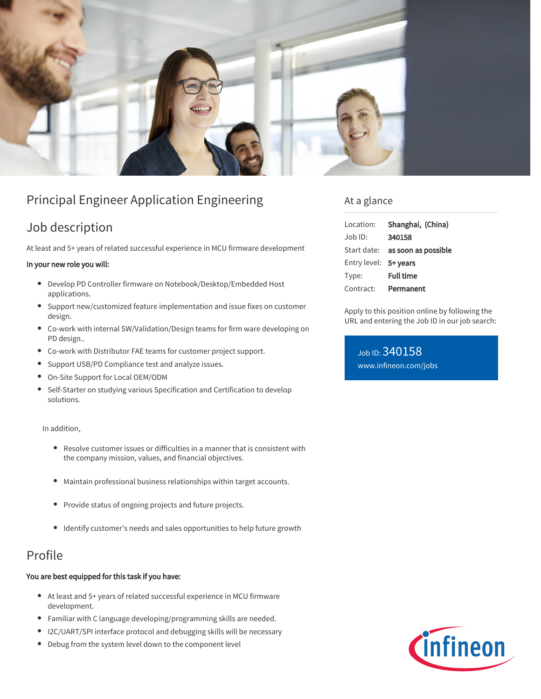

# Principal Engineer Application Engineering

# Job description

At least and 5+ years of related successful experience in MCU firmware development

#### In your new role you will:

- Develop PD Controller firmware on Notebook/Desktop/Embedded Host applications.
- Support new/customized feature implementation and issue fixes on customer design.
- Co-work with internal SW/Validation/Design teams for firm ware developing on PD design..
- Co-work with Distributor FAE teams for customer project support.
- Support USB/PD Compliance test and analyze issues.
- On-Site Support for Local OEM/ODM
- Self-Starter on studying various Specification and Certification to develop solutions.

In addition,

- Resolve customer issues or difficulties in a manner that is consistent with the company mission, values, and financial objectives.
- $\bullet$ Maintain professional business relationships within target accounts.
- Provide status of ongoing projects and future projects.
- Identify customer's needs and sales opportunities to help future growth

### Profile

#### You are best equipped for this task if you have:

- At least and 5+ years of related successful experience in MCU firmware development.
- Familiar with C language developing/programming skills are needed.
- I2C/UART/SPI interface protocol and debugging skills will be necessary
- Debug from the system level down to the component level

### At a glance

| Location:             | Shanghai, (China)               |
|-----------------------|---------------------------------|
| $Job$ ID:             | 340158                          |
|                       | Start date: as soon as possible |
| Entry level: 5+ years |                                 |
| Type:                 | <b>Full time</b>                |
| Contract:             | Permanent                       |

Apply to this position online by following the URL and entering the Job ID in our job search:

Job ID: 340158 [www.infineon.com/jobs](https://www.infineon.com/jobs)